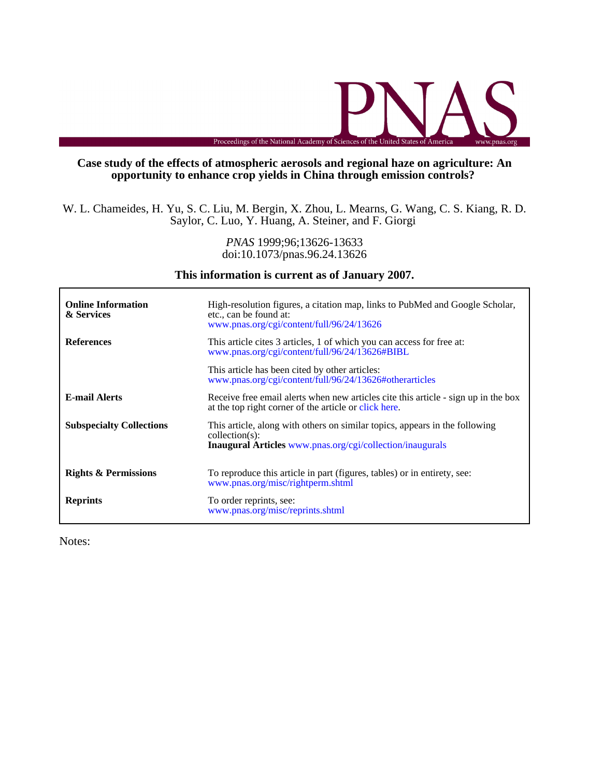

## **opportunity to enhance crop yields in China through emission controls? Case study of the effects of atmospheric aerosols and regional haze on agriculture: An**

## Saylor, C. Luo, Y. Huang, A. Steiner, and F. Giorgi W. L. Chameides, H. Yu, S. C. Liu, M. Bergin, X. Zhou, L. Mearns, G. Wang, C. S. Kiang, R. D.

doi:10.1073/pnas.96.24.13626 *PNAS* 1999;96;13626-13633

**This information is current as of January 2007.**

| <b>Online Information</b><br>& Services | High-resolution figures, a citation map, links to PubMed and Google Scholar,<br>etc., can be found at:<br>www.pnas.org/cgi/content/full/96/24/13626                         |  |  |  |
|-----------------------------------------|-----------------------------------------------------------------------------------------------------------------------------------------------------------------------------|--|--|--|
| <b>References</b>                       | This article cites 3 articles, 1 of which you can access for free at:<br>www.pnas.org/cgi/content/full/96/24/13626#BIBL                                                     |  |  |  |
|                                         | This article has been cited by other articles:<br>www.pnas.org/cgi/content/full/96/24/13626#otherarticles                                                                   |  |  |  |
| <b>E-mail Alerts</b>                    | Receive free email alerts when new articles cite this article - sign up in the box<br>at the top right corner of the article or click here.                                 |  |  |  |
| <b>Subspecialty Collections</b>         | This article, along with others on similar topics, appears in the following<br>$\text{collection}(s)$ :<br><b>Inaugural Articles www.pnas.org/cgi/collection/inaugurals</b> |  |  |  |
| <b>Rights &amp; Permissions</b>         | To reproduce this article in part (figures, tables) or in entirety, see:<br>www.pnas.org/misc/rightperm.shtml                                                               |  |  |  |
| <b>Reprints</b>                         | To order reprints, see:<br>www.pnas.org/misc/reprints.shtml                                                                                                                 |  |  |  |

Notes:

Г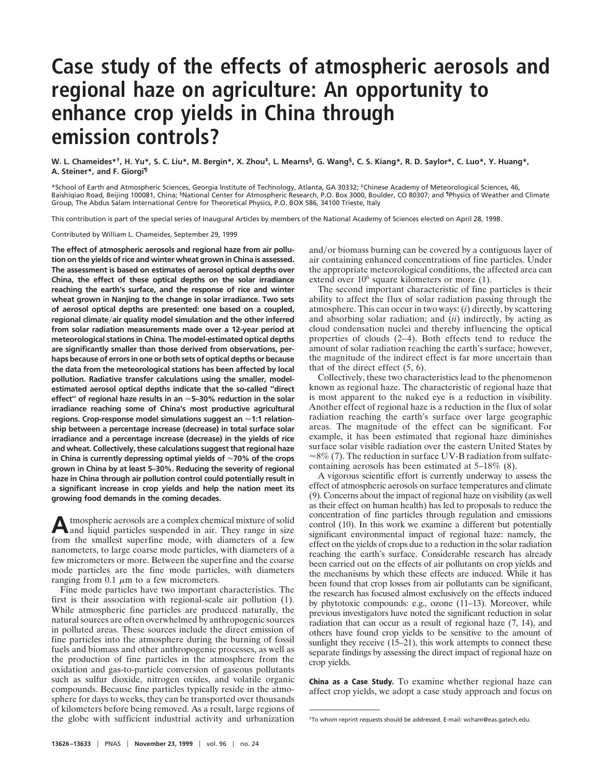# **Case study of the effects of atmospheric aerosols and regional haze on agriculture: An opportunity to enhance crop yields in China through emission controls?**

**W. L. Chameides\*†, H. Yu\*, S. C. Liu\*, M. Bergin\*, X. Zhou‡, L. Mearns§, G. Wang§, C. S. Kiang\*, R. D. Saylor\*, C. Luo\*, Y. Huang\*, A. Steiner\*, and F. Giorgi¶**

\*School of Earth and Atmospheric Sciences, Georgia Institute of Technology, Atlanta, GA 30332; ‡Chinese Academy of Meteorological Sciences, 46, Baishiqiao Road, Beijing 100081, China; <sup>§</sup>National Center for Atmospheric Research, P.O. Box 3000, Boulder, CO 80307; and <sup>¶</sup>Physics of Weather and Climate Group, The Abdus Salam International Centre for Theoretical Physics, P.O. BOX 586, 34100 Trieste, Italy

This contribution is part of the special series of Inaugural Articles by members of the National Academy of Sciences elected on April 28, 1998.

#### Contributed by William L. Chameides, September 29, 1999

**The effect of atmospheric aerosols and regional haze from air pollution on the yields of rice and winter wheat grown in China is assessed. The assessment is based on estimates of aerosol optical depths over China, the effect of these optical depths on the solar irradiance reaching the earth's surface, and the response of rice and winter wheat grown in Nanjing to the change in solar irradiance. Two sets of aerosol optical depths are presented: one based on a coupled,** regional climate/air quality model simulation and the other inferred **from solar radiation measurements made over a 12-year period at meteorological stations in China. The model-estimated optical depths are significantly smaller than those derived from observations, perhaps because of errors in one or both sets of optical depths or because the data from the meteorological stations has been affected by local pollution. Radiative transfer calculations using the smaller, modelestimated aerosol optical depths indicate that the so-called ''direct effect'' of regional haze results in an** '**5–30% reduction in the solar irradiance reaching some of China's most productive agricultural regions. Crop-response model simulations suggest an** '**1:1 relationship between a percentage increase (decrease) in total surface solar irradiance and a percentage increase (decrease) in the yields of rice and wheat. Collectively, these calculations suggest that regional haze in China is currently depressing optimal yields of** '**70% of the crops grown in China by at least 5–30%. Reducing the severity of regional haze in China through air pollution control could potentially result in a significant increase in crop yields and help the nation meet its growing food demands in the coming decades.**

A tmospheric aerosols are a complex chemical mixture of solid<br>and liquid particles suspended in air. They range in size from the smallest superfine mode, with diameters of a few nanometers, to large coarse mode particles, with diameters of a few micrometers or more. Between the superfine and the coarse mode particles are the fine mode particles, with diameters ranging from 0.1  $\mu$ m to a few micrometers.

Fine mode particles have two important characteristics. The first is their association with regional-scale air pollution (1). While atmospheric fine particles are produced naturally, the natural sources are often overwhelmed by anthropogenic sources in polluted areas. These sources include the direct emission of fine particles into the atmosphere during the burning of fossil fuels and biomass and other anthropogenic processes, as well as the production of fine particles in the atmosphere from the oxidation and gas-to-particle conversion of gaseous pollutants such as sulfur dioxide, nitrogen oxides, and volatile organic compounds. Because fine particles typically reside in the atmosphere for days to weeks, they can be transported over thousands of kilometers before being removed. As a result, large regions of the globe with sufficient industrial activity and urbanization and/or biomass burning can be covered by a contiguous layer of air containing enhanced concentrations of fine particles. Under the appropriate meteorological conditions, the affected area can extend over  $10^6$  square kilometers or more (1).

The second important characteristic of fine particles is their ability to affect the flux of solar radiation passing through the atmosphere. This can occur in two ways: (*i*) directly, by scattering and absorbing solar radiation; and (*ii*) indirectly, by acting as cloud condensation nuclei and thereby influencing the optical properties of clouds (2–4). Both effects tend to reduce the amount of solar radiation reaching the earth's surface; however, the magnitude of the indirect effect is far more uncertain than that of the direct effect (5, 6).

Collectively, these two characteristics lead to the phenomenon known as regional haze. The characteristic of regional haze that is most apparent to the naked eye is a reduction in visibility. Another effect of regional haze is a reduction in the flux of solar radiation reaching the earth's surface over large geographic areas. The magnitude of the effect can be significant. For example, it has been estimated that regional haze diminishes surface solar visible radiation over the eastern United States by  $\approx 8\%$  (7). The reduction in surface UV-B radiation from sulfatecontaining aerosols has been estimated at 5–18% (8).

A vigorous scientific effort is currently underway to assess the effect of atmospheric aerosols on surface temperatures and climate (9). Concerns about the impact of regional haze on visibility (as well as their effect on human health) has led to proposals to reduce the concentration of fine particles through regulation and emissions control (10). In this work we examine a different but potentially significant environmental impact of regional haze: namely, the effect on the yields of crops due to a reduction in the solar radiation reaching the earth's surface. Considerable research has already been carried out on the effects of air pollutants on crop yields and the mechanisms by which these effects are induced. While it has been found that crop losses from air pollutants can be significant, the research has focused almost exclusively on the effects induced by phytotoxic compounds: e.g., ozone (11–13). Moreover, while previous investigators have noted the significant reduction in solar radiation that can occur as a result of regional haze (7, 14), and others have found crop yields to be sensitive to the amount of sunlight they receive (15–21), this work attempts to connect these separate findings by assessing the direct impact of regional haze on crop yields.

**China as a Case Study.** To examine whether regional haze can affect crop yields, we adopt a case study approach and focus on

<sup>†</sup>To whom reprint requests should be addressed. E-mail: wcham@eas.gatech.edu.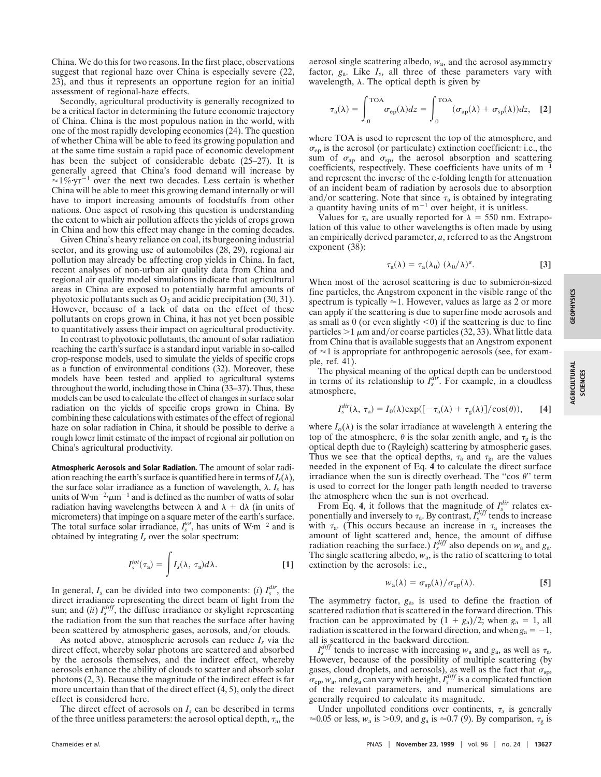China. We do this for two reasons. In the first place, observations suggest that regional haze over China is especially severe (22, 23), and thus it represents an opportune region for an initial assessment of regional-haze effects.

Secondly, agricultural productivity is generally recognized to be a critical factor in determining the future economic trajectory of China. China is the most populous nation in the world, with one of the most rapidly developing economies (24). The question of whether China will be able to feed its growing population and at the same time sustain a rapid pace of economic development has been the subject of considerable debate (25–27). It is generally agreed that China's food demand will increase by  $\approx 1\% \text{yr}^{-1}$  over the next two decades. Less certain is whether China will be able to meet this growing demand internally or will have to import increasing amounts of foodstuffs from other nations. One aspect of resolving this question is understanding the extent to which air pollution affects the yields of crops grown in China and how this effect may change in the coming decades.

Given China's heavy reliance on coal, its burgeoning industrial sector, and its growing use of automobiles (28, 29), regional air pollution may already be affecting crop yields in China. In fact, recent analyses of non-urban air quality data from China and regional air quality model simulations indicate that agricultural areas in China are exposed to potentially harmful amounts of phyotoxic pollutants such as  $O_3$  and acidic precipitation (30, 31). However, because of a lack of data on the effect of these pollutants on crops grown in China, it has not yet been possible to quantitatively assess their impact on agricultural productivity.

In contrast to phyotoxic pollutants, the amount of solar radiation reaching the earth's surface is a standard input variable in so-called crop-response models, used to simulate the yields of specific crops as a function of environmental conditions (32). Moreover, these models have been tested and applied to agricultural systems throughout the world, including those in China (33–37). Thus, these models can be used to calculate the effect of changes in surface solar radiation on the yields of specific crops grown in China. By combining these calculations with estimates of the effect of regional haze on solar radiation in China, it should be possible to derive a rough lower limit estimate of the impact of regional air pollution on China's agricultural productivity.

**Atmospheric Aerosols and Solar Radiation.** The amount of solar radiation reaching the earth's surface is quantified here in terms of  $I_s(\lambda)$ , the surface solar irradiance as a function of wavelength,  $\lambda$ .  $I_s$  has units of  $W \cdot m^{-2} \cdot \mu m^{-1}$  and is defined as the number of watts of solar radiation having wavelengths between  $\lambda$  and  $\lambda + d\lambda$  (in units of micrometers) that impinge on a square meter of the earth's surface. The total surface solar irradiance,  $I_s^{tot}$ , has units of W·m<sup>-2</sup> and is obtained by integrating *Is* over the solar spectrum:

$$
I_s^{tot}(\tau_a) = \int I_s(\lambda, \tau_a) d\lambda.
$$
 [1]

In general,  $I_s$  can be divided into two components: (*i*)  $I_s^{dir}$ , the direct irradiance representing the direct beam of light from the sun; and  $(ii)$   $I_s^{diff}$ , the diffuse irradiance or skylight representing the radiation from the sun that reaches the surface after having been scattered by atmospheric gases, aerosols, and/or clouds.

As noted above, atmospheric aerosols can reduce *Is* via the direct effect, whereby solar photons are scattered and absorbed by the aerosols themselves, and the indirect effect, whereby aerosols enhance the ability of clouds to scatter and absorb solar photons (2, 3). Because the magnitude of the indirect effect is far more uncertain than that of the direct effect (4, 5), only the direct effect is considered here.

The direct effect of aerosols on *Is* can be described in terms of the three unitless parameters: the aerosol optical depth,  $\tau_a$ , the

aerosol single scattering albedo, *w*a, and the aerosol asymmetry factor, *g*a. Like *Is*, all three of these parameters vary with wavelength,  $\lambda$ . The optical depth is given by

$$
\tau_{a}(\lambda) = \int_{0}^{\text{TOA}} \sigma_{ep}(\lambda) dz = \int_{0}^{\text{TOA}} (\sigma_{ap}(\lambda) + \sigma_{sp}(\lambda)) dz, \quad [2]
$$

where TOA is used to represent the top of the atmosphere, and  $\sigma_{\rm en}$  is the aerosol (or particulate) extinction coefficient: i.e., the sum of  $\sigma_{ap}$  and  $\sigma_{sp}$ , the aerosol absorption and scattering coefficients, respectively. These coefficients have units of  $m^{-1}$ and represent the inverse of the e-folding length for attenuation of an incident beam of radiation by aerosols due to absorption and/or scattering. Note that since  $\tau_a$  is obtained by integrating a quantity having units of  $m^{-1}$  over height, it is unitless.

Values for  $\tau_a$  are usually reported for  $\lambda = 550$  nm. Extrapolation of this value to other wavelengths is often made by using an empirically derived parameter, *a*, referred to as the Angstrom exponent (38):

$$
\tau_a(\lambda) = \tau_a(\lambda_0) \; (\lambda_0/\lambda)^a. \tag{3}
$$

When most of the aerosol scattering is due to submicron-sized fine particles, the Angstrom exponent in the visible range of the spectrum is typically  $\approx$  1. However, values as large as 2 or more can apply if the scattering is due to superfine mode aerosols and as small as  $0$  (or even slightly  $\leq 0$ ) if the scattering is due to fine particles  $>1 \mu$ m and/or coarse particles (32, 33). What little data from China that is available suggests that an Angstrom exponent of  $\approx$ 1 is appropriate for anthropogenic aerosols (see, for example, ref. 41).

The physical meaning of the optical depth can be understood in terms of its relationship to  $I_s^{dir}$ . For example, in a cloudless atmosphere,

$$
I_s^{dir}(\lambda, \tau_a) = I_0(\lambda) \exp([-\tau_a(\lambda) + \tau_g(\lambda)]/\cos(\theta)), \quad [4]
$$

where  $I_o(\lambda)$  is the solar irradiance at wavelength  $\lambda$  entering the top of the atmosphere,  $\theta$  is the solar zenith angle, and  $\tau_{g}$  is the optical depth due to (Rayleigh) scattering by atmospheric gases. Thus we see that the optical depths,  $\tau_a$  and  $\tau_g$ , are the values needed in the exponent of Eq. **4** to calculate the direct surface irradiance when the sun is directly overhead. The "cos  $\theta$ " term is used to correct for the longer path length needed to traverse the atmosphere when the sun is not overhead.

From Eq. 4, it follows that the magnitude of  $I_s^{dir}$  relates exponentially and inversely to  $\tau_a$ . By contrast,  $I_s^{diff}$  tends to increase with  $\tau_a$ . (This occurs because an increase in  $\tau_a$  increases the amount of light scattered and, hence, the amount of diffuse radiation reaching the surface.)  $I_s^{diff}$  also depends on  $w_a$  and  $g_a$ . The single scattering albedo,  $w_a$ , is the ratio of scattering to total extinction by the aerosols: i.e.,

$$
w_{\rm a}(\lambda) = \sigma_{\rm sp}(\lambda) / \sigma_{\rm ep}(\lambda). \tag{5}
$$

The asymmetry factor, *g*a, is used to define the fraction of scattered radiation that is scattered in the forward direction. This fraction can be approximated by  $(1 + g_a)/2$ ; when  $g_a = 1$ , all radiation is scattered in the forward direction, and when  $g_a = -1$ , all is scattered in the backward direction.

 $I_s^{diff}$  tends to increase with increasing  $w_a$  and  $g_a$ , as well as  $\tau_a$ . However, because of the possibility of multiple scattering (by gases, cloud droplets, and aerosols), as well as the fact that  $\sigma_{\rm sp}$ ,  $\sigma_{\rm ep}$ ,  $w_{\rm a}$ , and  $g_{\rm a}$  can vary with height,  $I_s^{\it diff}$  is a complicated function of the relevant parameters, and numerical simulations are generally required to calculate its magnitude.

Under unpolluted conditions over continents,  $\tau_a$  is generally  $\approx$  0.05 or less,  $w_a$  is > 0.9, and  $g_a$  is  $\approx$  0.7 (9). By comparison,  $\tau_g$  is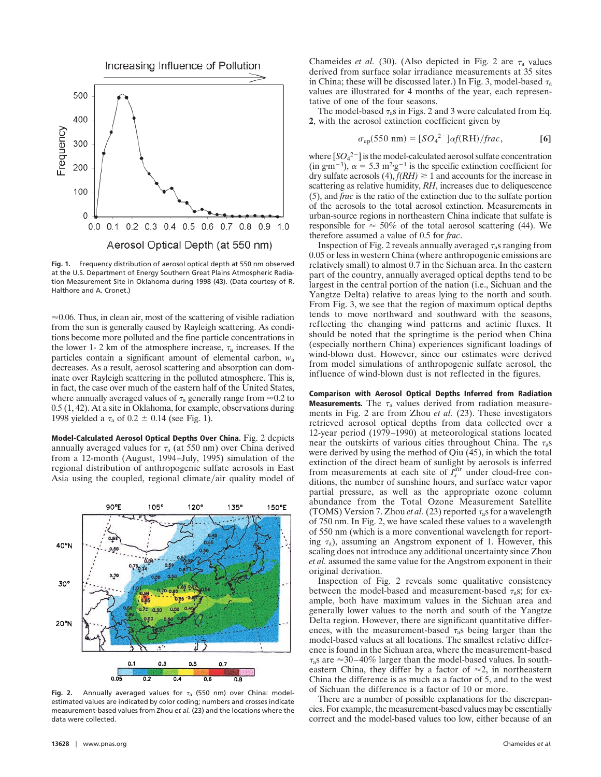

**Fig. 1.** Frequency distribution of aerosol optical depth at 550 nm observed at the U.S. Department of Energy Southern Great Plains Atmospheric Radiation Measurement Site in Oklahoma during 1998 (43). (Data courtesy of R. Halthore and A. Cronet.)

 $\approx 0.06$ . Thus, in clean air, most of the scattering of visible radiation from the sun is generally caused by Rayleigh scattering. As conditions become more polluted and the fine particle concentrations in the lower 1- 2 km of the atmosphere increase,  $\tau_a$  increases. If the particles contain a significant amount of elemental carbon, *w*<sup>a</sup> decreases. As a result, aerosol scattering and absorption can dominate over Rayleigh scattering in the polluted atmosphere. This is, in fact, the case over much of the eastern half of the United States, where annually averaged values of  $\tau_a$  generally range from  $\approx 0.2$  to 0.5 (1, 42). At a site in Oklahoma, for example, observations during 1998 yielded a  $\tau_a$  of 0.2  $\pm$  0.14 (see Fig. 1).

**Model-Calculated Aerosol Optical Depths Over China.** Fig. 2 depicts annually averaged values for  $\tau_a$  (at 550 nm) over China derived from a 12-month (August, 1994–July, 1995) simulation of the regional distribution of anthropogenic sulfate aerosols in East Asia using the coupled, regional climate/air quality model of



Fig. 2. Annually averaged values for  $\tau_a$  (550 nm) over China: modelestimated values are indicated by color coding; numbers and crosses indicate measurement-based values from Zhou *et al.* (23) and the locations where the data were collected.

Chameides *et al.* (30). (Also depicted in Fig. 2 are  $\tau_a$  values derived from surface solar irradiance measurements at 35 sites in China; these will be discussed later.) In Fig. 3, model-based  $\tau_a$ values are illustrated for 4 months of the year, each representative of one of the four seasons.

The model-based  $\tau_a$ s in Figs. 2 and 3 were calculated from Eq. **2**, with the aerosol extinction coefficient given by

$$
\sigma_{ep}(550 \text{ nm}) = [SO_4^{2-}] \alpha f(\text{RH}) / \text{frac}, \quad [6]
$$

where  $[SO_4{}^{2-}]$  is the model-calculated aerosol sulfate concentration (in g·m<sup>-3</sup>),  $\alpha = 5.3$  m<sup>2</sup>·g<sup>-1</sup> is the specific extinction coefficient for dry sulfate aerosols (4),  $f(RH) \ge 1$  and accounts for the increase in scattering as relative humidity, *RH*, increases due to deliquescence (5), and *frac* is the ratio of the extinction due to the sulfate portion of the aerosols to the total aerosol extinction. Measurements in urban-source regions in northeastern China indicate that sulfate is responsible for  $\approx 50\%$  of the total aerosol scattering (44). We therefore assumed a value of 0.5 for *frac*.

Inspection of Fig. 2 reveals annually averaged  $\tau_a$ s ranging from 0.05 or less in western China (where anthropogenic emissions are relatively small) to almost 0.7 in the Sichuan area. In the eastern part of the country, annually averaged optical depths tend to be largest in the central portion of the nation (i.e., Sichuan and the Yangtze Delta) relative to areas lying to the north and south. From Fig. 3, we see that the region of maximum optical depths tends to move northward and southward with the seasons, reflecting the changing wind patterns and actinic fluxes. It should be noted that the springtime is the period when China (especially northern China) experiences significant loadings of wind-blown dust. However, since our estimates were derived from model simulations of anthropogenic sulfate aerosol, the influence of wind-blown dust is not reflected in the figures.

**Comparison with Aerosol Optical Depths Inferred from Radiation Measurements.** The  $\tau_a$  values derived from radiation measurements in Fig. 2 are from Zhou *et al.* (23). These investigators retrieved aerosol optical depths from data collected over a 12-year period (1979–1990) at meteorological stations located near the outskirts of various cities throughout China. The  $\tau_a$ s were derived by using the method of Qiu (45), in which the total extinction of the direct beam of sunlight by aerosols is inferred from measurements at each site of  $\tilde{I}_s^{dir}$  under cloud-free conditions, the number of sunshine hours, and surface water vapor partial pressure, as well as the appropriate ozone column abundance from the Total Ozone Measurement Satellite (TOMS) Version 7. Zhou *et al.* (23) reported  $\tau_a$ s for a wavelength of 750 nm. In Fig. 2, we have scaled these values to a wavelength of 550 nm (which is a more conventional wavelength for reporting  $\tau_a$ ), assuming an Angstrom exponent of 1. However, this scaling does not introduce any additional uncertainty since Zhou *et al.* assumed the same value for the Angstrom exponent in their original derivation.

Inspection of Fig. 2 reveals some qualitative consistency between the model-based and measurement-based  $\tau_a$ s; for example, both have maximum values in the Sichuan area and generally lower values to the north and south of the Yangtze Delta region. However, there are significant quantitative differences, with the measurement-based  $\tau_a$ s being larger than the model-based values at all locations. The smallest relative difference is found in the Sichuan area, where the measurement-based  $\tau_a$ s are  $\approx$ 30–40% larger than the model-based values. In southeastern China, they differ by a factor of  $\approx 2$ , in northeastern China the difference is as much as a factor of 5, and to the west of Sichuan the difference is a factor of 10 or more.

There are a number of possible explanations for the discrepancies. For example, the measurement-based values may be essentially correct and the model-based values too low, either because of an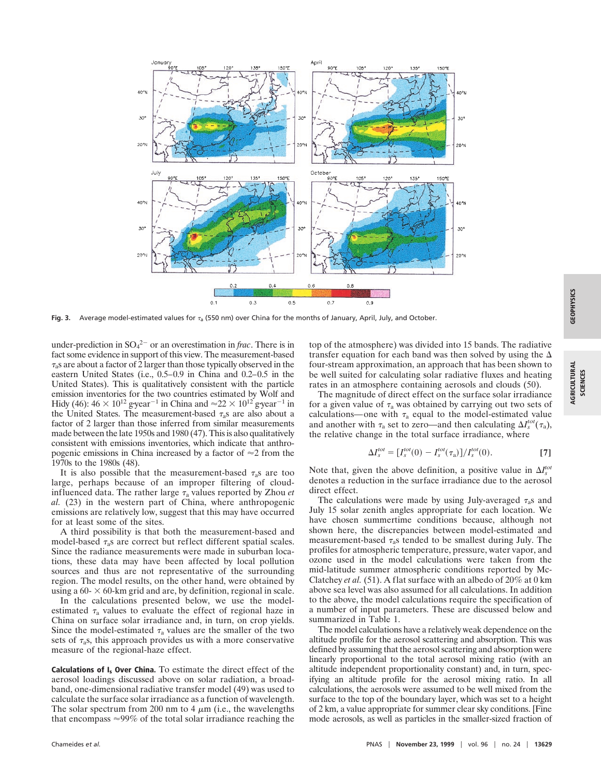

Fig. 3. Average model-estimated values for  $\tau_a$  (550 nm) over China for the months of January, April, July, and October.

under-prediction in  $SO_4^2$ <sup>-</sup> or an overestimation in *frac*. There is in fact some evidence in support of this view. The measurement-based  $\tau_a$ s are about a factor of 2 larger than those typically observed in the eastern United States (i.e., 0.5–0.9 in China and 0.2–0.5 in the United States). This is qualitatively consistent with the particle emission inventories for the two countries estimated by Wolf and Hidy (46):  $46 \times 10^{12}$  gyear<sup>-1</sup> in China and  $\approx 22 \times 10^{12}$  gyear<sup>-1</sup> in the United States. The measurement-based  $\tau_a$ s are also about a factor of 2 larger than those inferred from similar measurements made between the late 1950s and 1980 (47). This is also qualitatively consistent with emissions inventories, which indicate that anthropogenic emissions in China increased by a factor of  $\approx$  2 from the 1970s to the 1980s (48).

It is also possible that the measurement-based  $\tau_a$ s are too large, perhaps because of an improper filtering of cloudinfluenced data. The rather large  $\tau_a$  values reported by Zhou *et al.* (23) in the western part of China, where anthropogenic emissions are relatively low, suggest that this may have occurred for at least some of the sites.

A third possibility is that both the measurement-based and model-based  $\tau_a$ s are correct but reflect different spatial scales. Since the radiance measurements were made in suburban locations, these data may have been affected by local pollution sources and thus are not representative of the surrounding region. The model results, on the other hand, were obtained by using a  $60 - \times 60$ -km grid and are, by definition, regional in scale.

In the calculations presented below, we use the modelestimated  $\tau_a$  values to evaluate the effect of regional haze in China on surface solar irradiance and, in turn, on crop yields. Since the model-estimated  $\tau_a$  values are the smaller of the two sets of  $\tau_a$ s, this approach provides us with a more conservative measure of the regional-haze effect.

**Calculations of Is Over China.** To estimate the direct effect of the aerosol loadings discussed above on solar radiation, a broadband, one-dimensional radiative transfer model (49) was used to calculate the surface solar irradiance as a function of wavelength. The solar spectrum from 200 nm to 4  $\mu$ m (i.e., the wavelengths that encompass  $\approx$ 99% of the total solar irradiance reaching the

top of the atmosphere) was divided into 15 bands. The radiative transfer equation for each band was then solved by using the  $\Delta$ four-stream approximation, an approach that has been shown to be well suited for calculating solar radiative fluxes and heating rates in an atmosphere containing aerosols and clouds (50).

The magnitude of direct effect on the surface solar irradiance for a given value of  $\tau_a$  was obtained by carrying out two sets of calculations—one with  $\tau_a$  equal to the model-estimated value and another with  $\tau_a$  set to zero—and then calculating  $\Delta I_s^{tot}(\tau_a)$ , the relative change in the total surface irradiance, where

$$
\Delta I_s^{tot} = \left[I_s^{tot}(0) - I_s^{tot}(\tau_a)\right]/I_s^{tot}(0). \tag{7}
$$

Note that, given the above definition, a positive value in  $\Delta I_s^{tot}$ denotes a reduction in the surface irradiance due to the aerosol direct effect.

The calculations were made by using July-averaged  $\tau_a$ s and July 15 solar zenith angles appropriate for each location. We have chosen summertime conditions because, although not shown here, the discrepancies between model-estimated and measurement-based  $\tau_a$ s tended to be smallest during July. The profiles for atmospheric temperature, pressure, water vapor, and ozone used in the model calculations were taken from the mid-latitude summer atmospheric conditions reported by Mc-Clatchey *et al.* (51). A flat surface with an albedo of 20% at 0 km above sea level was also assumed for all calculations. In addition to the above, the model calculations require the specification of a number of input parameters. These are discussed below and summarized in Table 1.

The model calculations have a relatively weak dependence on the altitude profile for the aerosol scattering and absorption. This was defined by assuming that the aerosol scattering and absorption were linearly proportional to the total aerosol mixing ratio (with an altitude independent proportionality constant) and, in turn, specifying an altitude profile for the aerosol mixing ratio. In all calculations, the aerosols were assumed to be well mixed from the surface to the top of the boundary layer, which was set to a height of 2 km, a value appropriate for summer clear sky conditions. [Fine mode aerosols, as well as particles in the smaller-sized fraction of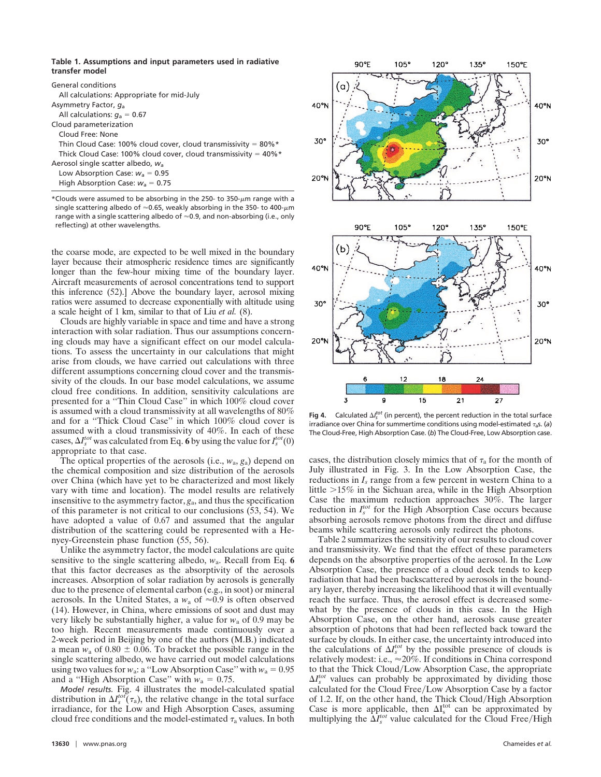### **Table 1. Assumptions and input parameters used in radiative transfer model**

| General conditions                                                  |
|---------------------------------------------------------------------|
| All calculations: Appropriate for mid-July                          |
| Asymmetry Factor, q <sub>a</sub>                                    |
| All calculations: $q_a = 0.67$                                      |
| Cloud parameterization                                              |
| Cloud Free: None                                                    |
| Thin Cloud Case: 100% cloud cover, cloud transmissivity $= 80\%$ *  |
| Thick Cloud Case: 100% cloud cover, cloud transmissivity = $40\%$ * |
| Aerosol single scatter albedo, $W_a$                                |
| Low Absorption Case: $w_a = 0.95$                                   |
| High Absorption Case: $w_a = 0.75$                                  |

\*Clouds were assumed to be absorbing in the 250- to 350- $\mu$ m range with a single scattering albedo of  $\approx$  0.65, weakly absorbing in the 350- to 400- $\mu$ m range with a single scattering albedo of  $\approx$  0.9, and non-absorbing (i.e., only reflecting) at other wavelengths.

the coarse mode, are expected to be well mixed in the boundary layer because their atmospheric residence times are significantly longer than the few-hour mixing time of the boundary layer. Aircraft measurements of aerosol concentrations tend to support this inference (52).] Above the boundary layer, aerosol mixing ratios were assumed to decrease exponentially with altitude using a scale height of 1 km, similar to that of Liu *et al.* (8).

Clouds are highly variable in space and time and have a strong interaction with solar radiation. Thus our assumptions concerning clouds may have a significant effect on our model calculations. To assess the uncertainty in our calculations that might arise from clouds, we have carried out calculations with three different assumptions concerning cloud cover and the transmissivity of the clouds. In our base model calculations, we assume cloud free conditions. In addition, sensitivity calculations are presented for a ''Thin Cloud Case'' in which 100% cloud cover is assumed with a cloud transmissivity at all wavelengths of 80% and for a ''Thick Cloud Case'' in which 100% cloud cover is assumed with a cloud transmissivity of 40%. In each of these cases,  $\Delta I_s^{tot}$  was calculated from Eq. 6 by using the value for  $I_s^{tot}(0)$ appropriate to that case.

The optical properties of the aerosols (i.e.,  $w_a$ ,  $g_a$ ) depend on the chemical composition and size distribution of the aerosols over China (which have yet to be characterized and most likely vary with time and location). The model results are relatively insensitive to the asymmetry factor,  $g_a$ , and thus the specification of this parameter is not critical to our conclusions (53, 54). We have adopted a value of 0.67 and assumed that the angular distribution of the scattering could be represented with a Henyey-Greenstein phase function (55, 56).

Unlike the asymmetry factor, the model calculations are quite sensitive to the single scattering albedo,  $w_a$ . Recall from Eq. 6 that this factor decreases as the absorptivity of the aerosols increases. Absorption of solar radiation by aerosols is generally due to the presence of elemental carbon (e.g., in soot) or mineral aerosols. In the United States, a  $w_a$  of  $\approx 0.9$  is often observed (14). However, in China, where emissions of soot and dust may very likely be substantially higher, a value for  $w_a$  of 0.9 may be too high. Recent measurements made continuously over a 2-week period in Beijing by one of the authors (M.B.) indicated a mean  $w_a$  of 0.80  $\pm$  0.06. To bracket the possible range in the single scattering albedo, we have carried out model calculations using two values for  $w_a$ : a "Low Absorption Case" with  $w_a = 0.95$ and a "High Absorption Case" with  $w_a = 0.75$ .

*Model results.* Fig. 4 illustrates the model-calculated spatial distribution in  $\Delta I_s^{tot}(\tau_a)$ , the relative change in the total surface irradiance, for the Low and High Absorption Cases, assuming cloud free conditions and the model-estimated  $\tau_a$  values. In both



**Fig 4.** Calculated  $\Delta f_s^{\text{tot}}$  (in percent), the percent reduction in the total surface irradiance over China for summertime conditions using model-estimated  $\tau$ <sub>a</sub>s. (a) The Cloud-Free, High Absorption Case. (*b*) The Cloud-Free, Low Absorption case.

cases, the distribution closely mimics that of  $\tau_a$  for the month of July illustrated in Fig. 3. In the Low Absorption Case, the reductions in *Is* range from a few percent in western China to a little  $>15\%$  in the Sichuan area, while in the High Absorption Case the maximum reduction approaches 30%. The larger reduction in  $I_s^{tot}$  for the High Absorption Case occurs because absorbing aerosols remove photons from the direct and diffuse beams while scattering aerosols only redirect the photons.

Table 2 summarizes the sensitivity of our results to cloud cover and transmissivity. We find that the effect of these parameters depends on the absorptive properties of the aerosol. In the Low Absorption Case, the presence of a cloud deck tends to keep radiation that had been backscattered by aerosols in the boundary layer, thereby increasing the likelihood that it will eventually reach the surface. Thus, the aerosol effect is decreased somewhat by the presence of clouds in this case. In the High Absorption Case, on the other hand, aerosols cause greater absorption of photons that had been reflected back toward the surface by clouds. In either case, the uncertainty introduced into the calculations of  $\Delta I_s^{tot}$  by the possible presence of clouds is relatively modest: i.e.,  $\approx$  20%. If conditions in China correspond to that the Thick Cloud/Low Absorption Case, the appropriate  $\Delta I_s^{tot}$  values can probably be approximated by dividing those calculated for the Cloud Free/Low Absorption Case by a factor of 1.2. If, on the other hand, the Thick Cloud/High Absorption Case is more applicable, then  $\Delta I_s^{\text{tot}}$  can be approximated by multiplying the  $\Delta I_s^{tot}$  value calculated for the Cloud Free/High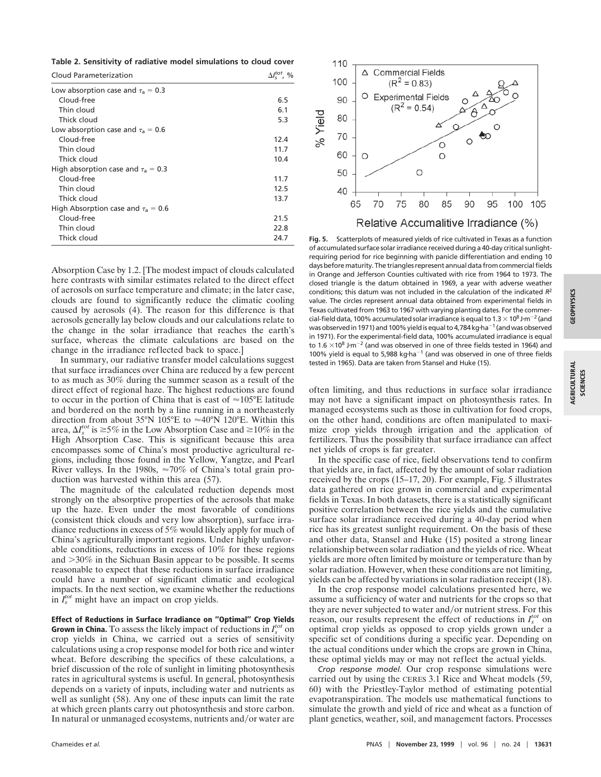**Table 2. Sensitivity of radiative model simulations to cloud cover**

| Cloud Parameterization                  | $\Delta l_{s}^{\rm tot}$ , % |  |
|-----------------------------------------|------------------------------|--|
| Low absorption case and $\tau_a = 0.3$  |                              |  |
| Cloud-free                              | 6.5                          |  |
| Thin cloud                              | 6.1                          |  |
| Thick cloud                             | 5.3                          |  |
| Low absorption case and $\tau_a = 0.6$  |                              |  |
| Cloud-free                              | 12.4                         |  |
| Thin cloud                              | 11.7                         |  |
| Thick cloud                             | 10.4                         |  |
| High absorption case and $\tau_a = 0.3$ |                              |  |
| Cloud-free                              | 11.7                         |  |
| Thin cloud                              | 12.5                         |  |
| Thick cloud                             | 13.7                         |  |
| High Absorption case and $\tau_a = 0.6$ |                              |  |
| Cloud-free                              | 21.5                         |  |
| Thin cloud                              | 22.8                         |  |
| Thick cloud                             | 24.7                         |  |

Absorption Case by 1.2. [The modest impact of clouds calculated here contrasts with similar estimates related to the direct effect of aerosols on surface temperature and climate; in the later case, clouds are found to significantly reduce the climatic cooling caused by aerosols (4). The reason for this difference is that aerosols generally lay below clouds and our calculations relate to the change in the solar irradiance that reaches the earth's surface, whereas the climate calculations are based on the change in the irradiance reflected back to space.]

In summary, our radiative transfer model calculations suggest that surface irradiances over China are reduced by a few percent to as much as 30% during the summer season as a result of the direct effect of regional haze. The highest reductions are found to occur in the portion of China that is east of  $\approx 105^{\circ}E$  latitude and bordered on the north by a line running in a northeasterly direction from about 35°N 105°E to  $\approx 40^{\circ}$ N 120°E. Within this area,  $\Delta I_s^{tot}$  is  $\geq$ 5% in the Low Absorption Case and  $\geq$ 10% in the High Absorption Case. This is significant because this area encompasses some of China's most productive agricultural regions, including those found in the Yellow, Yangtze, and Pearl River valleys. In the 1980s,  $\approx 70\%$  of China's total grain production was harvested within this area (57).

The magnitude of the calculated reduction depends most strongly on the absorptive properties of the aerosols that make up the haze. Even under the most favorable of conditions (consistent thick clouds and very low absorption), surface irradiance reductions in excess of 5% would likely apply for much of China's agriculturally important regions. Under highly unfavorable conditions, reductions in excess of 10% for these regions and  $>30\%$  in the Sichuan Basin appear to be possible. It seems reasonable to expect that these reductions in surface irradiance could have a number of significant climatic and ecological impacts. In the next section, we examine whether the reductions in  $\tilde{I}_{s}^{tot}$  might have an impact on crop yields.

**Effect of Reductions in Surface Irradiance on ''Optimal'' Crop Yields Grown in China.** To assess the likely impact of reductions in  $I_s^{tot}$  on crop yields in China, we carried out a series of sensitivity calculations using a crop response model for both rice and winter wheat. Before describing the specifics of these calculations, a brief discussion of the role of sunlight in limiting photosynthesis rates in agricultural systems is useful. In general, photosynthesis depends on a variety of inputs, including water and nutrients as well as sunlight (58). Any one of these inputs can limit the rate at which green plants carry out photosynthesis and store carbon. In natural or unmanaged ecosystems, nutrients and/or water are



Fig. 5. Scatterplots of measured yields of rice cultivated in Texas as a function of accumulated surface solar irradiance received during a 40-day critical sunlightrequiring period for rice beginning with panicle differentiation and ending 10 days before maturity. The triangles represent annual data from commercial fields in Orange and Jefferson Counties cultivated with rice from 1964 to 1973. The closed triangle is the datum obtained in 1969, a year with adverse weather conditions; this datum was not included in the calculation of the indicated *R*<sup>2</sup> value. The circles represent annual data obtained from experimental fields in Texas cultivated from 1963 to 1967 with varying planting dates. For the commercial-field data, 100% accumulated solar irradiance is equal to  $1.3 \times 10^8$  J·m<sup>-2</sup> (and was observed in 1971) and 100% yield is equal to 4,784 kg·ha<sup>-1</sup> (and was observed in 1971). For the experimental-field data, 100% accumulated irradiance is equal to 1.6  $\times$ 10<sup>8</sup> J·m<sup>-2</sup> (and was observed in one of three fields tested in 1964) and 100% yield is equal to 5,988 kg·ha<sup>-1</sup> (and was observed in one of three fields tested in 1965). Data are taken from Stansel and Huke (15).

often limiting, and thus reductions in surface solar irradiance may not have a significant impact on photosynthesis rates. In managed ecosystems such as those in cultivation for food crops, on the other hand, conditions are often manipulated to maximize crop yields through irrigation and the application of fertilizers. Thus the possibility that surface irradiance can affect net yields of crops is far greater.

In the specific case of rice, field observations tend to confirm that yields are, in fact, affected by the amount of solar radiation received by the crops (15–17, 20). For example, Fig. 5 illustrates data gathered on rice grown in commercial and experimental fields in Texas. In both datasets, there is a statistically significant positive correlation between the rice yields and the cumulative surface solar irradiance received during a 40-day period when rice has its greatest sunlight requirement. On the basis of these and other data, Stansel and Huke (15) posited a strong linear relationship between solar radiation and the yields of rice. Wheat yields are more often limited by moisture or temperature than by solar radiation. However, when these conditions are not limiting, yields can be affected by variations in solar radiation receipt (18).

In the crop response model calculations presented here, we assume a sufficiency of water and nutrients for the crops so that they are never subjected to water and/or nutrient stress. For this reason, our results represent the effect of reductions in  $I_s^{tot}$  on optimal crop yields as opposed to crop yields grown under a specific set of conditions during a specific year. Depending on the actual conditions under which the crops are grown in China, these optimal yields may or may not reflect the actual yields.

*Crop response model.* Our crop response simulations were carried out by using the CERES 3.1 Rice and Wheat models (59, 60) with the Priestley-Taylor method of estimating potential evapotranspiration. The models use mathematical functions to simulate the growth and yield of rice and wheat as a function of plant genetics, weather, soil, and management factors. Processes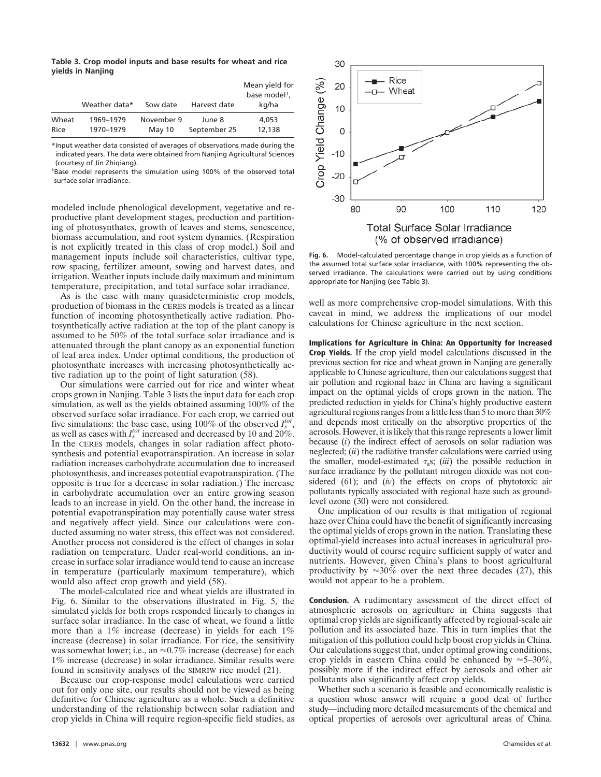**Table 3. Crop model inputs and base results for wheat and rice yields in Nanjing**

|               |                        |                      |                        | Mean yield for<br>base model <sup>+</sup> , |
|---------------|------------------------|----------------------|------------------------|---------------------------------------------|
|               | Weather data*          | Sow date             | Harvest date           | kg/ha                                       |
| Wheat<br>Rice | 1969–1979<br>1970-1979 | November 9<br>May 10 | June 8<br>September 25 | 4,053<br>12,138                             |

\*Input weather data consisted of averages of observations made during the indicated years. The data were obtained from Nanjing Agricultural Sciences (courtesy of Jin Zhiqiang).

†Base model represents the simulation using 100% of the observed total surface solar irradiance.

modeled include phenological development, vegetative and reproductive plant development stages, production and partitioning of photosynthates, growth of leaves and stems, senescence, biomass accumulation, and root system dynamics. (Respiration is not explicitly treated in this class of crop model.) Soil and management inputs include soil characteristics, cultivar type, row spacing, fertilizer amount, sowing and harvest dates, and irrigation. Weather inputs include daily maximum and minimum temperature, precipitation, and total surface solar irradiance.

As is the case with many quasideterministic crop models, production of biomass in the CERES models is treated as a linear function of incoming photosynthetically active radiation. Photosynthetically active radiation at the top of the plant canopy is assumed to be 50% of the total surface solar irradiance and is attenuated through the plant canopy as an exponential function of leaf area index. Under optimal conditions, the production of photosynthate increases with increasing photosynthetically active radiation up to the point of light saturation (58).

Our simulations were carried out for rice and winter wheat crops grown in Nanjing. Table 3 lists the input data for each crop simulation, as well as the yields obtained assuming 100% of the observed surface solar irradiance. For each crop, we carried out five simulations: the base case, using  $100\%$  of the observed  $I_s^{tot}$ , as well as cases with  $I_s^{tot}$  increased and decreased by 10 and 20%. In the CERES models, changes in solar radiation affect photosynthesis and potential evapotranspiration. An increase in solar radiation increases carbohydrate accumulation due to increased photosynthesis, and increases potential evapotranspiration. (The opposite is true for a decrease in solar radiation.) The increase in carbohydrate accumulation over an entire growing season leads to an increase in yield. On the other hand, the increase in potential evapotranspiration may potentially cause water stress and negatively affect yield. Since our calculations were conducted assuming no water stress, this effect was not considered. Another process not considered is the effect of changes in solar radiation on temperature. Under real-world conditions, an increase in surface solar irradiance would tend to cause an increase in temperature (particularly maximum temperature), which would also affect crop growth and yield (58).

The model-calculated rice and wheat yields are illustrated in Fig. 6. Similar to the observations illustrated in Fig. 5, the simulated yields for both crops responded linearly to changes in surface solar irradiance. In the case of wheat, we found a little more than a  $1\%$  increase (decrease) in yields for each  $1\%$ increase (decrease) in solar irradiance. For rice, the sensitivity was somewhat lower; i.e., an  $\approx 0.7\%$  increase (decrease) for each 1% increase (decrease) in solar irradiance. Similar results were found in sensitivity analyses of the SIMRIW rice model (21).

Because our crop-response model calculations were carried out for only one site, our results should not be viewed as being definitive for Chinese agriculture as a whole. Such a definitive understanding of the relationship between solar radiation and crop yields in China will require region-specific field studies, as



**Fig. 6.** Model-calculated percentage change in crop yields as a function of the assumed total surface solar irradiance, with 100% representing the observed irradiance. The calculations were carried out by using conditions appropriate for Nanjing (see Table 3).

well as more comprehensive crop-model simulations. With this caveat in mind, we address the implications of our model calculations for Chinese agriculture in the next section.

**Implications for Agriculture in China: An Opportunity for Increased Crop Yields.** If the crop yield model calculations discussed in the previous section for rice and wheat grown in Nanjing are generally applicable to Chinese agriculture, then our calculations suggest that air pollution and regional haze in China are having a significant impact on the optimal yields of crops grown in the nation. The predicted reduction in yields for China's highly productive eastern agricultural regions ranges from a little less than 5 to more than 30% and depends most critically on the absorptive properties of the aerosols. However, it is likely that this range represents a lower limit because (*i*) the indirect effect of aerosols on solar radiation was neglected; (*ii*) the radiative transfer calculations were carried using the smaller, model-estimated  $\tau_a$ s; *(iii)* the possible reduction in surface irradiance by the pollutant nitrogen dioxide was not considered (61); and (*iv*) the effects on crops of phytotoxic air pollutants typically associated with regional haze such as groundlevel ozone (30) were not considered.

One implication of our results is that mitigation of regional haze over China could have the benefit of significantly increasing the optimal yields of crops grown in the nation. Translating these optimal-yield increases into actual increases in agricultural productivity would of course require sufficient supply of water and nutrients. However, given China's plans to boost agricultural productivity by  $\approx 30\%$  over the next three decades (27), this would not appear to be a problem.

**Conclusion.** A rudimentary assessment of the direct effect of atmospheric aerosols on agriculture in China suggests that optimal crop yields are significantly affected by regional-scale air pollution and its associated haze. This in turn implies that the mitigation of this pollution could help boost crop yields in China. Our calculations suggest that, under optimal growing conditions, crop yields in eastern China could be enhanced by  $\approx$  5–30%, possibly more if the indirect effect by aerosols and other air pollutants also significantly affect crop yields.

Whether such a scenario is feasible and economically realistic is a question whose answer will require a good deal of further study—including more detailed measurements of the chemical and optical properties of aerosols over agricultural areas of China.